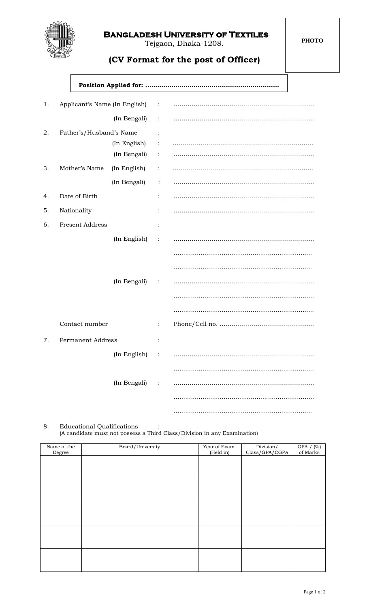

## **Bangladesh University of Textiles**

Tejgaon, Dhaka-1208.

## **(CV Format for the post of Officer)**

**Position Applied for: .……………………………................................**

| 1. | Applicant's Name (In English) : |              |                |  |
|----|---------------------------------|--------------|----------------|--|
|    |                                 | (In Bengali) | $\sim$ 1       |  |
| 2. | Father's/Husband's Name         |              | $\ddot{\cdot}$ |  |
|    |                                 | (In English) | $\ddot{\cdot}$ |  |
|    |                                 | (In Bengali) | $\ddot{\cdot}$ |  |
| 3. | Mother's Name                   | (In English) | $\ddot{\cdot}$ |  |
|    |                                 | (In Bengali) | $\ddot{\cdot}$ |  |
| 4. | Date of Birth                   |              | :              |  |
| 5. | Nationality                     |              | :              |  |
| 6. | <b>Present Address</b>          |              | $\ddot{\cdot}$ |  |
|    |                                 | (In English) | $\ddot{\cdot}$ |  |
|    |                                 |              |                |  |
|    |                                 |              |                |  |
|    |                                 | (In Bengali) | $\sim 1000$    |  |
|    |                                 |              |                |  |
|    |                                 |              |                |  |
|    | Contact number                  |              |                |  |
| 7. | <b>Permanent Address</b>        |              |                |  |
|    |                                 | (In English) |                |  |
|    |                                 |              |                |  |
|    |                                 | (In Bengali) |                |  |
|    |                                 |              |                |  |
|    |                                 |              |                |  |

8. Educational Qualifications :

(A candidate must not possess a Third Class/Division in any Examination)

| Name of the | Board/University | Year of Exam.<br>(Held in) | Division/<br>Class/GPA/CGPA | GPA $/$ (%)<br>of Marks |
|-------------|------------------|----------------------------|-----------------------------|-------------------------|
| Degree      |                  |                            |                             |                         |
|             |                  |                            |                             |                         |
|             |                  |                            |                             |                         |
|             |                  |                            |                             |                         |
|             |                  |                            |                             |                         |
|             |                  |                            |                             |                         |
|             |                  |                            |                             |                         |
|             |                  |                            |                             |                         |
|             |                  |                            |                             |                         |
|             |                  |                            |                             |                         |
|             |                  |                            |                             |                         |
|             |                  |                            |                             |                         |
|             |                  |                            |                             |                         |
|             |                  |                            |                             |                         |